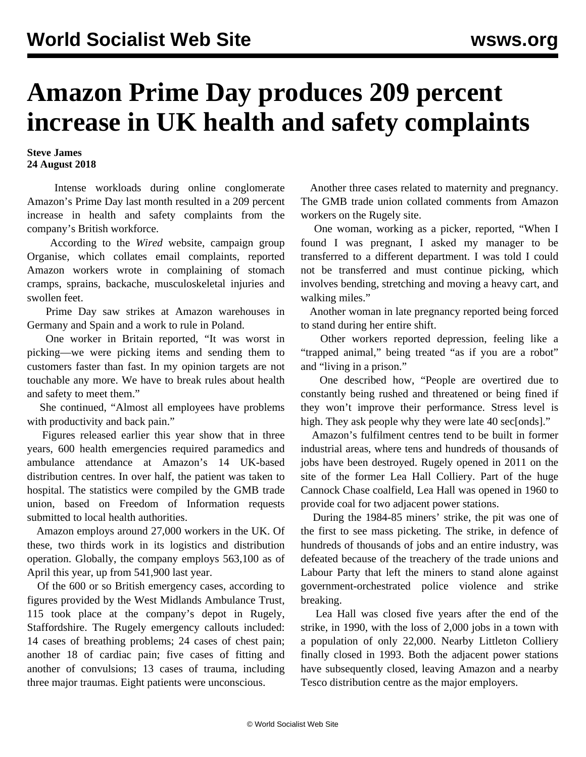## **Amazon Prime Day produces 209 percent increase in UK health and safety complaints**

**Steve James 24 August 2018**

 Intense workloads during online conglomerate Amazon's Prime Day last month resulted in a 209 percent increase in health and safety complaints from the company's British workforce.

 According to the *Wired* website, campaign group Organise, which collates email complaints, reported Amazon workers wrote in complaining of stomach cramps, sprains, backache, musculoskeletal injuries and swollen feet.

 Prime Day saw strikes at Amazon warehouses in Germany and Spain and a work to rule in Poland.

 One worker in Britain reported, "It was worst in picking—we were picking items and sending them to customers faster than fast. In my opinion targets are not touchable any more. We have to break rules about health and safety to meet them."

 She continued, "Almost all employees have problems with productivity and back pain."

 Figures released earlier this year show that in three years, 600 health emergencies required paramedics and ambulance attendance at Amazon's 14 UK-based distribution centres. In over half, the patient was taken to hospital. The statistics were compiled by the GMB trade union, based on Freedom of Information requests submitted to local health authorities.

 Amazon employs around 27,000 workers in the UK. Of these, two thirds work in its logistics and distribution operation. Globally, the company employs 563,100 as of April this year, up from 541,900 last year.

 Of the 600 or so British emergency cases, according to figures provided by the West Midlands Ambulance Trust, 115 took place at the company's depot in Rugely, Staffordshire. The Rugely emergency callouts included: 14 cases of breathing problems; 24 cases of chest pain; another 18 of cardiac pain; five cases of fitting and another of convulsions; 13 cases of trauma, including three major traumas. Eight patients were unconscious.

 Another three cases related to maternity and pregnancy. The GMB trade union collated comments from Amazon workers on the Rugely site.

 One woman, working as a picker, reported, "When I found I was pregnant, I asked my manager to be transferred to a different department. I was told I could not be transferred and must continue picking, which involves bending, stretching and moving a heavy cart, and walking miles."

 Another woman in late pregnancy reported being forced to stand during her entire shift.

 Other workers reported depression, feeling like a "trapped animal," being treated "as if you are a robot" and "living in a prison."

 One described how, "People are overtired due to constantly being rushed and threatened or being fined if they won't improve their performance. Stress level is high. They ask people why they were late 40 sec[onds]."

 Amazon's fulfilment centres tend to be built in former industrial areas, where tens and hundreds of thousands of jobs have been destroyed. Rugely opened in 2011 on the site of the former Lea Hall Colliery. Part of the huge Cannock Chase coalfield, Lea Hall was opened in 1960 to provide coal for two adjacent power stations.

 During the 1984-85 miners' strike, the pit was one of the first to see mass picketing. The strike, in defence of hundreds of thousands of jobs and an entire industry, was defeated because of the treachery of the trade unions and Labour Party that left the miners to stand alone against government-orchestrated police violence and strike breaking.

 Lea Hall was closed five years after the end of the strike, in 1990, with the loss of 2,000 jobs in a town with a population of only 22,000. Nearby Littleton Colliery finally closed in 1993. Both the adjacent power stations have subsequently closed, leaving Amazon and a nearby Tesco distribution centre as the major employers.